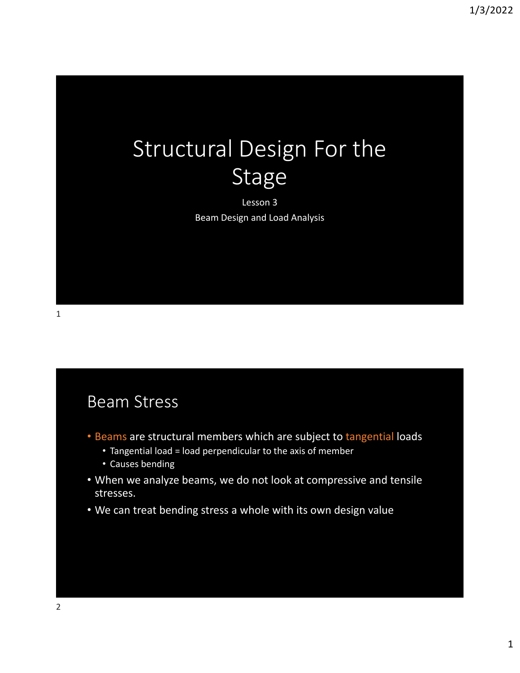# Structural Design For the Stage

Lesson 3 Beam Design and Load Analysis

#### Beam Stress

- Beams are structural members which are subject to tangential loads
	- Tangential load = load perpendicular to the axis of member
	- Causes bending
- When we analyze beams, we do not look at compressive and tensile stresses.
- We can treat bending stress a whole with its own design value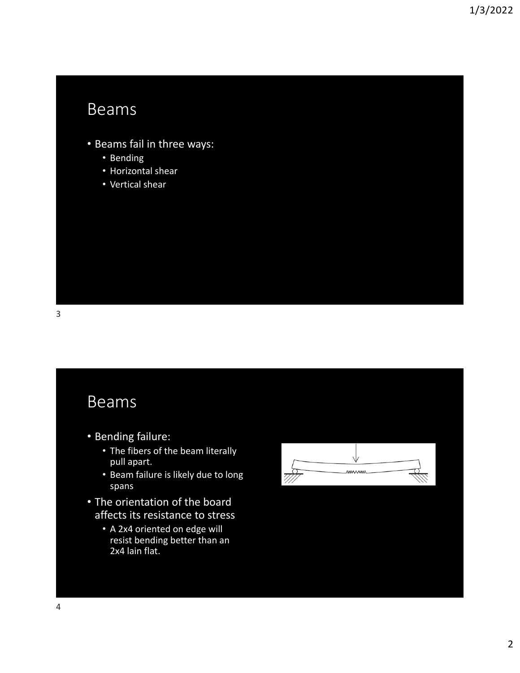### Beams

- Beams fail in three ways:
	- Bending
	- Horizontal shear
	- Vertical shear

#### Beams

- Bending failure:
	- The fibers of the beam literally pull apart.
	- Beam failure is likely due to long spans
- The orientation of the board affects its resistance to stress
	- A 2x4 oriented on edge will resist bending better than an 2x4 lain flat.

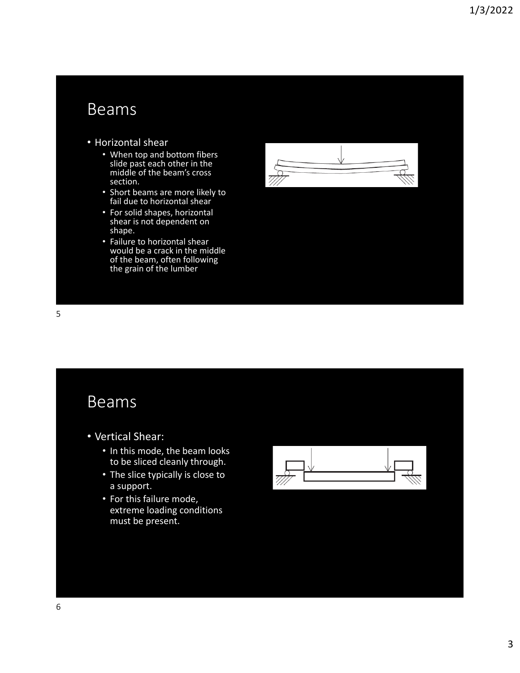### Beams

- Horizontal shear
	- When top and bottom fibers slide past each other in the middle of the beam's cross section.
	- Short beams are more likely to fail due to horizontal shear
	- For solid shapes, horizontal shear is not dependent on shape.
	- Failure to horizontal shear would be a crack in the middle of the beam, often following the grain of the lumber



#### Beams

- Vertical Shear:
	- In this mode, the beam looks to be sliced cleanly through.
	- The slice typically is close to a support.
	- For this failure mode, extreme loading conditions must be present.

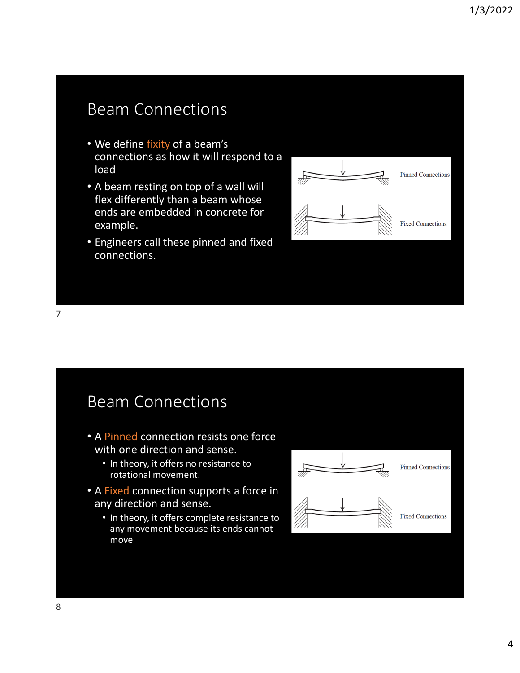# Beam Connections

- We define fixity of a beam's connections as how it will respond to a load
- A beam resting on top of a wall will flex differently than a beam whose ends are embedded in concrete for example.
- Engineers call these pinned and fixed connections.



Beam Connections

- A Pinned connection resists one force with one direction and sense.
	- In theory, it offers no resistance to rotational movement.
- A Fixed connection supports a force in any direction and sense.
	- In theory, it offers complete resistance to any movement because its ends cannot move

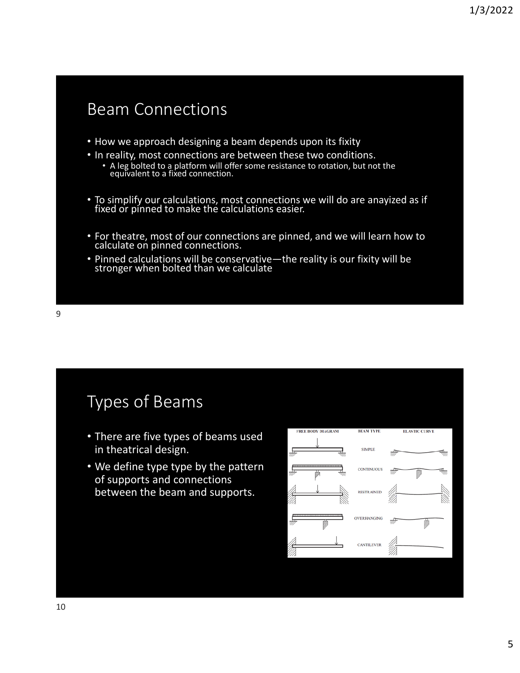### Beam Connections

- How we approach designing a beam depends upon its fixity
- In reality, most connections are between these two conditions.
	- A leg bolted to a platform will offer some resistance to rotation, but not the equivalent to a fixed connection.
- To simplify our calculations, most connections we will do are anayized as if fixed or pinned to make the calculations easier.
- For theatre, most of our connections are pinned, and we will learn how to calculate on pinned connections.
- Pinned calculations will be conservative—the reality is our fixity will be stronger when bolted than we calculate

### Types of Beams

- There are five types of beams used in theatrical design.
- We define type type by the pattern of supports and connections between the beam and supports.

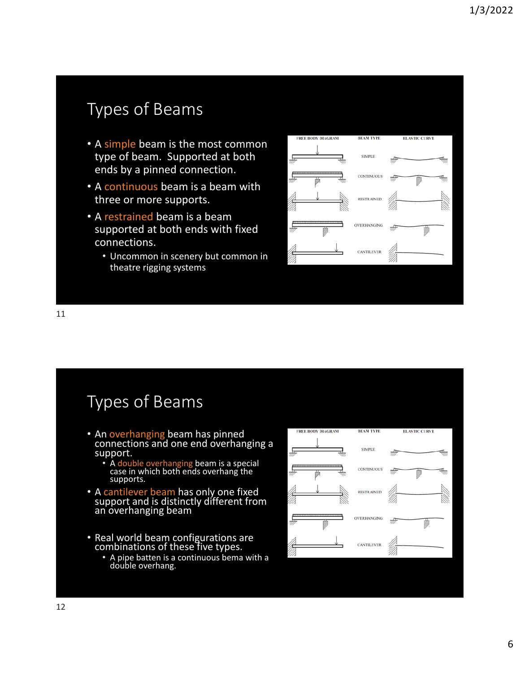# Types of Beams

- A simple beam is the most common type of beam. Supported at both ends by a pinned connection.
- A continuous beam is a beam with three or more supports.
- A restrained beam is a beam supported at both ends with fixed connections.
	- Uncommon in scenery but common in theatre rigging systems



Types of Beams

- An overhanging beam has pinned connections and one end overhanging a support.
	- A double overhanging beam is a special case in which both ends overhang the supports.
- A cantilever beam has only one fixed<br>
support and is distinctly different from an overhanging beam
- Real world beam configurations are combinations of these five types.
	- A pipe batten is a continuous bema with a double overhang.

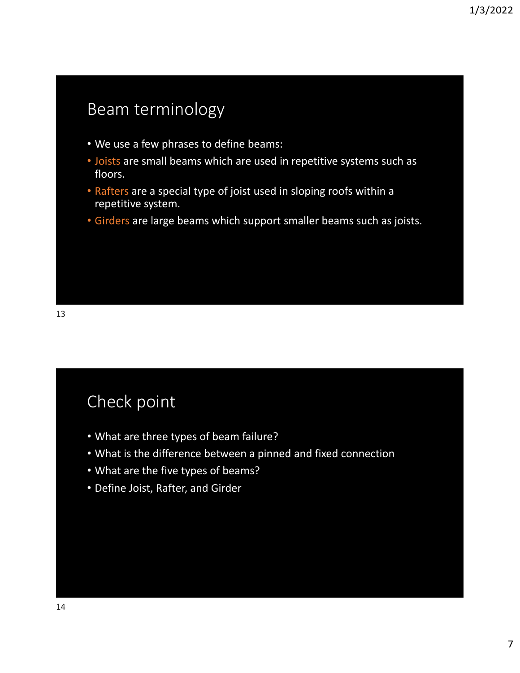# Beam terminology

- We use a few phrases to define beams:
- Joists are small beams which are used in repetitive systems such as floors.
- Rafters are a special type of joist used in sloping roofs within a repetitive system.
- Girders are large beams which support smaller beams such as joists.

### Check point

- What are three types of beam failure?
- What is the difference between a pinned and fixed connection
- What are the five types of beams?
- Define Joist, Rafter, and Girder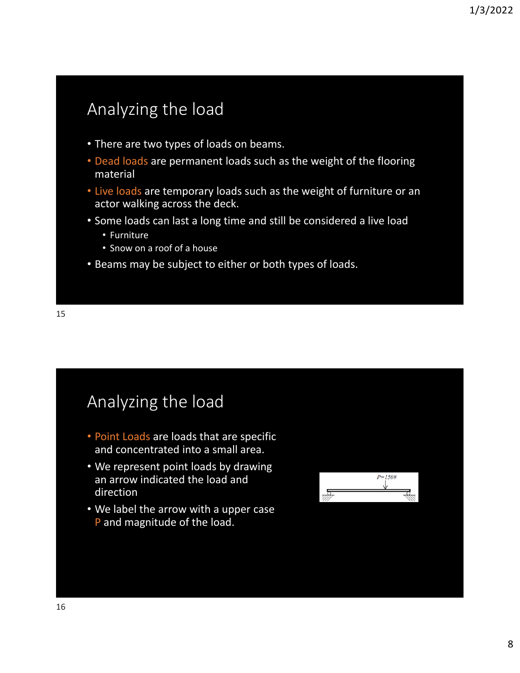# Analyzing the load

- There are two types of loads on beams.
- Dead loads are permanent loads such as the weight of the flooring material
- Live loads are temporary loads such as the weight of furniture or an actor walking across the deck.
- Some loads can last a long time and still be considered a live load
	- Furniture
	- Snow on a roof of a house
- Beams may be subject to either or both types of loads.

### Analyzing the load

- Point Loads are loads that are specific and concentrated into a small area.
- We represent point loads by drawing an arrow indicated the load and direction
- We label the arrow with a upper case P and magnitude of the load.

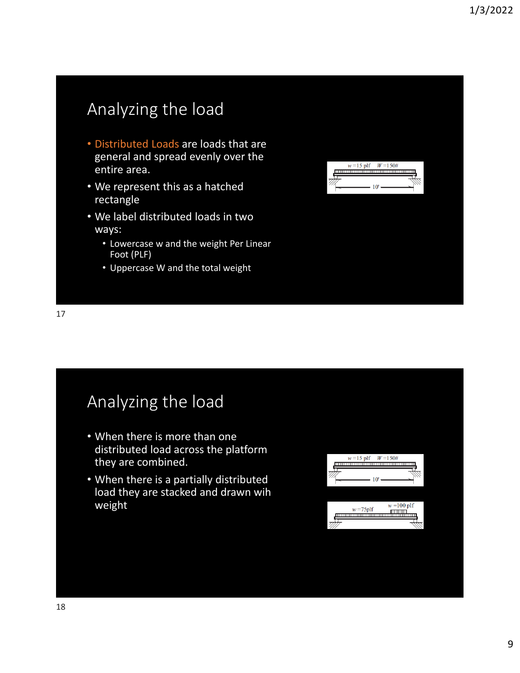# Analyzing the load

- Distributed Loads are loads that are general and spread evenly over the entire area.
- We represent this as a hatched rectangle
- We label distributed loads in two ways:
	- Lowercase w and the weight Per Linear Foot (PLF)
	- Uppercase W and the total weight



# Analyzing the load

- When there is more than one distributed load across the platform they are combined.
- When there is a partially distributed load they are stacked and drawn wih weight

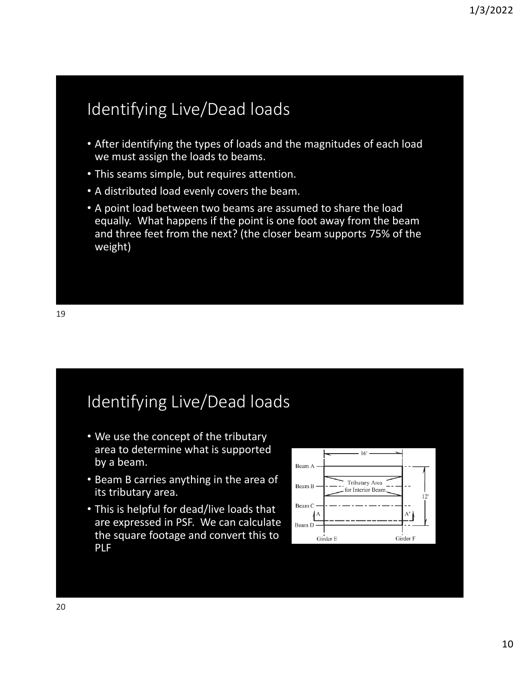# Identifying Live/Dead loads

- After identifying the types of loads and the magnitudes of each load we must assign the loads to beams.
- This seams simple, but requires attention.
- A distributed load evenly covers the beam.
- A point load between two beams are assumed to share the load equally. What happens if the point is one foot away from the beam and three feet from the next? (the closer beam supports 75% of the weight)

### Identifying Live/Dead loads

- We use the concept of the tributary area to determine what is supported by a beam.
- Beam B carries anything in the area of its tributary area.
- This is helpful for dead/live loads that are expressed in PSF. We can calculate the square footage and convert this to PLF

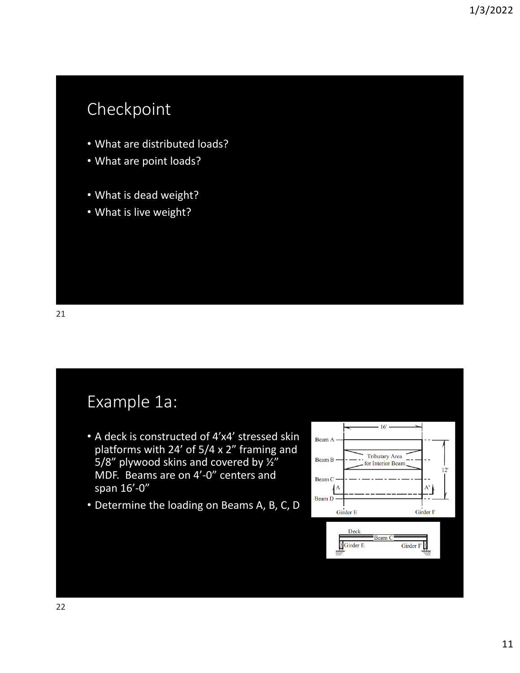# Checkpoint

- What are distributed loads?
- What are point loads?
- What is dead weight?
- What is live weight?

### Example 1a:

- A deck is constructed of 4'x4' stressed skin platforms with 24' of 5/4 x 2" framing and 5/8" plywood skins and covered by  $\frac{1}{2}$ " MDF. Beams are on 4'‐0" centers and span 16'‐0"
- Determine the loading on Beams A, B, C, D

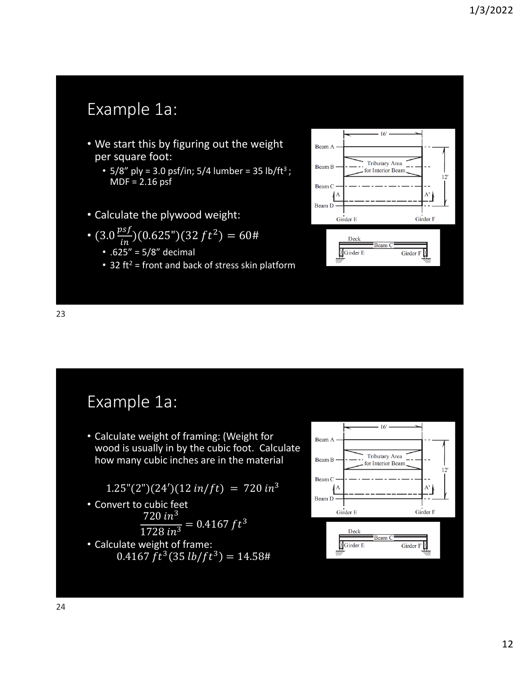# Example 1a:

- We start this by figuring out the weight per square foot:
	- $5/8''$  ply = 3.0 psf/in;  $5/4$  lumber = 35 lb/ft<sup>3</sup>; MDF = 2.16 psf
- Calculate the plywood weight:
- $(3.0 \frac{psf}{in})(0.625'')(32 ft^2) = 60$ #
	- .625" = 5/8" decimal
	- 32 ft<sup>2</sup> = front and back of stress skin platform



Example 1a:

• Calculate weight of framing: (Weight for wood is usually in by the cubic foot. Calculate how many cubic inches are in the material

 $1.25''(2'')(24')(12 \frac{in}{ft}) = 720 \frac{in^3}{t^3}$ 

- Convert to cubic feet  $720 in^3$  $\frac{720 \text{ m}}{1728 \text{ in}^3}$  = 0.4167 ft<sup>3</sup>
- Calculate weight of frame:  $0.4167 ft^3(35 lb/ft^3) = 14.58#$

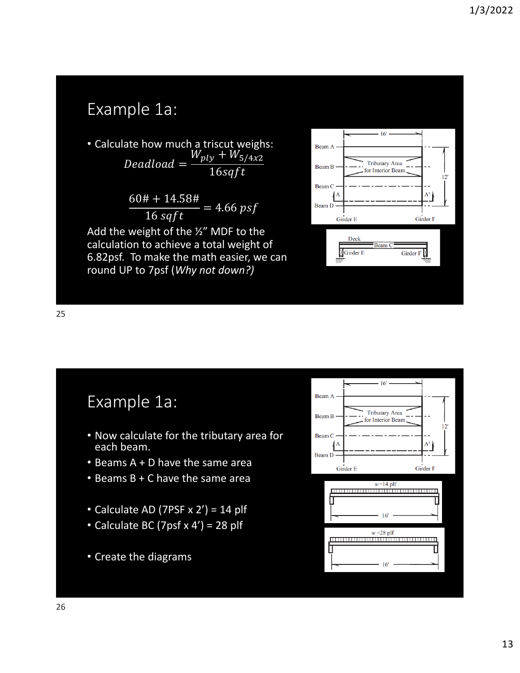# Example 1a:

• Calculate how much a triscut weighs:  $Deadload =$  $W_{ply} + W_{5/4x2}$  $16$ sq $ft$ 

$$
\frac{60# + 14.58#}{16 \text{ sqft}} = 4.66 \text{ psf}
$$

Add the weight of the ½" MDF to the calculation to achieve a total weight of 6.82psf. To make the math easier, we can round UP to 7psf (*Why not down?)*



25

### Example 1a:

- Now calculate for the tributary area for each beam.
- Beams A + D have the same area
- Beams B + C have the same area
- Calculate AD (7PSF  $x$  2') = 14 plf
- Calculate BC (7psf  $x$  4') = 28 plf
- Create the diagrams

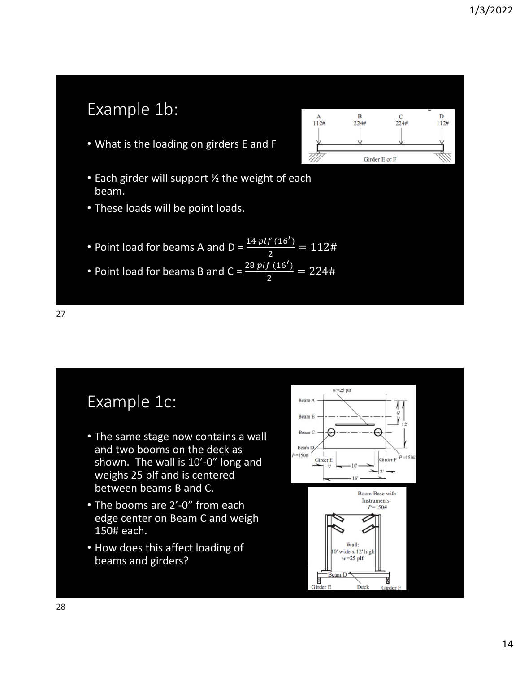# Example 1b:

• What is the loading on girders E and F



- Each girder will support ½ the weight of each beam.
- These loads will be point loads.
- Point load for beams A and D =  $\frac{14\,plf\,(16')}{2} = 112$ #
- Point load for beams B and  $C = \frac{28 \, plf \, (16')}{2} = 224 \#$

27

### Example 1c:

- The same stage now contains a wall and two booms on the deck as shown. The wall is 10'-0" long and weighs 25 plf and is centered between beams B and C.
- The booms are 2'-0" from each edge center on Beam C and weigh 150# each.
- How does this affect loading of beams and girders?

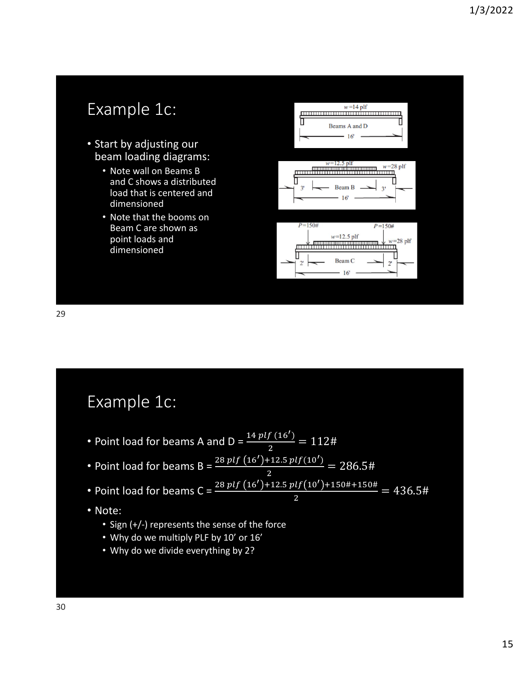![](_page_14_Figure_1.jpeg)

29

#### Example 1c:

- Point load for beams A and D =  $\frac{14\,plf\,(16')}{2} = 112$ #
- Point load for beams  $B = \frac{28 \, plf(16') + 12.5 \, plf(10')}{h}$ ଶ  $= 286.5#$
- Point load for beams C =  $\frac{28 \ plf (16') + 12.5 \ plf (10') + 150\# + 150\#}{2} = 436.5\#$
- Note:
	- Sign (+/‐) represents the sense of the force
	- Why do we multiply PLF by 10' or 16'
	- Why do we divide everything by 2?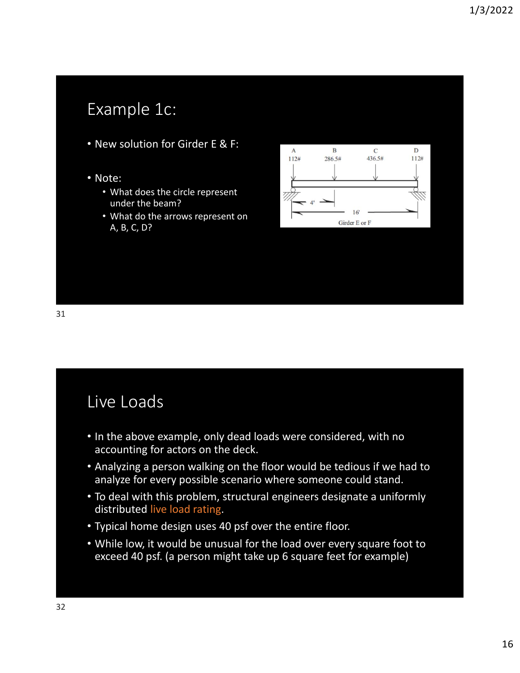# Example 1c:

- New solution for Girder E & F:
- Note:
	- What does the circle represent under the beam?
	- What do the arrows represent on A, B, C, D?

![](_page_15_Figure_6.jpeg)

31

### Live Loads

- In the above example, only dead loads were considered, with no accounting for actors on the deck.
- Analyzing a person walking on the floor would be tedious if we had to analyze for every possible scenario where someone could stand.
- To deal with this problem, structural engineers designate a uniformly distributed live load rating.
- Typical home design uses 40 psf over the entire floor.
- While low, it would be unusual for the load over every square foot to exceed 40 psf. (a person might take up 6 square feet for example)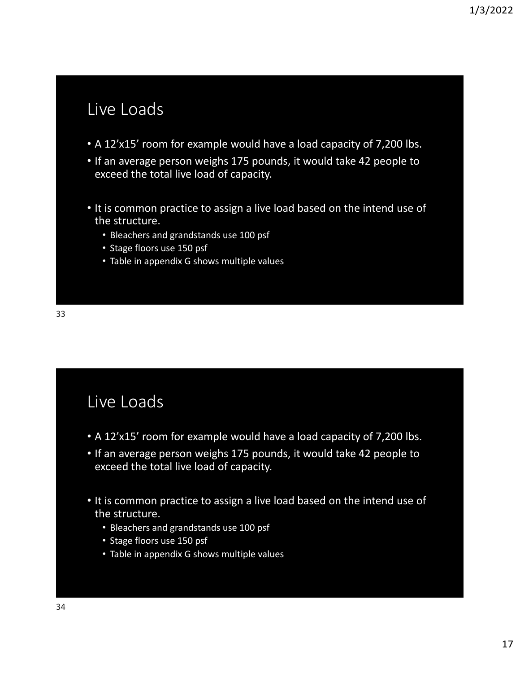# Live Loads

- A 12'x15' room for example would have a load capacity of 7,200 lbs.
- If an average person weighs 175 pounds, it would take 42 people to exceed the total live load of capacity.
- It is common practice to assign a live load based on the intend use of the structure.
	- Bleachers and grandstands use 100 psf
	- Stage floors use 150 psf
	- Table in appendix G shows multiple values

# Live Loads

- A 12'x15' room for example would have a load capacity of 7,200 lbs.
- If an average person weighs 175 pounds, it would take 42 people to exceed the total live load of capacity.
- It is common practice to assign a live load based on the intend use of the structure.
	- Bleachers and grandstands use 100 psf
	- Stage floors use 150 psf
	- Table in appendix G shows multiple values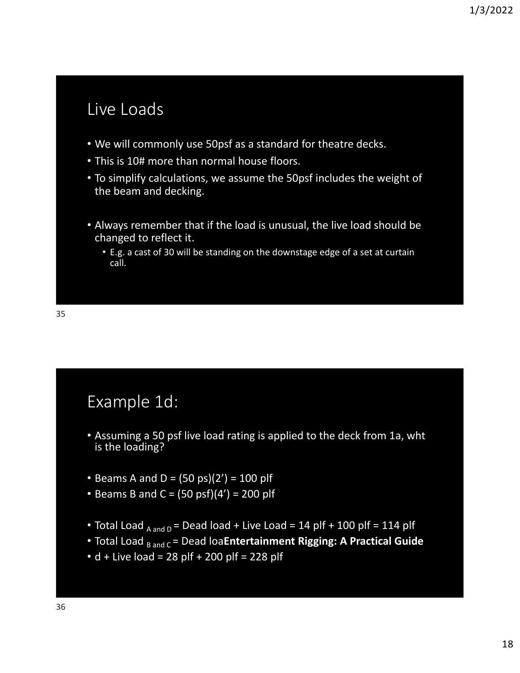# Live Loads

- We will commonly use 50psf as a standard for theatre decks.
- This is 10# more than normal house floors.
- To simplify calculations, we assume the 50psf includes the weight of the beam and decking.
- Always remember that if the load is unusual, the live load should be changed to reflect it.
	- E.g. a cast of 30 will be standing on the downstage edge of a set at curtain call.

#### Example 1d:

- Assuming a 50 psf live load rating is applied to the deck from 1a, wht is the loading?
- Beams A and D =  $(50 \text{ ps})(2') = 100 \text{ p}$
- Beams B and C =  $(50 \text{ psf})(4') = 200 \text{ p}$
- Total Load  $_{A \text{ and } D}$  = Dead load + Live Load = 14 plf + 100 plf = 114 plf
- Total Load <sub>B and C</sub> = Dead loa**Entertainment Rigging: A Practical Guide**
- $\cdot$  d + Live load = 28 plf + 200 plf = 228 plf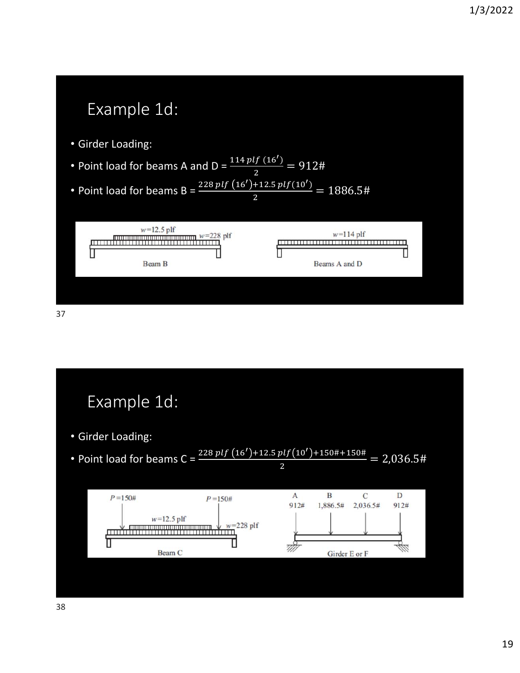![](_page_18_Figure_1.jpeg)

![](_page_18_Figure_2.jpeg)